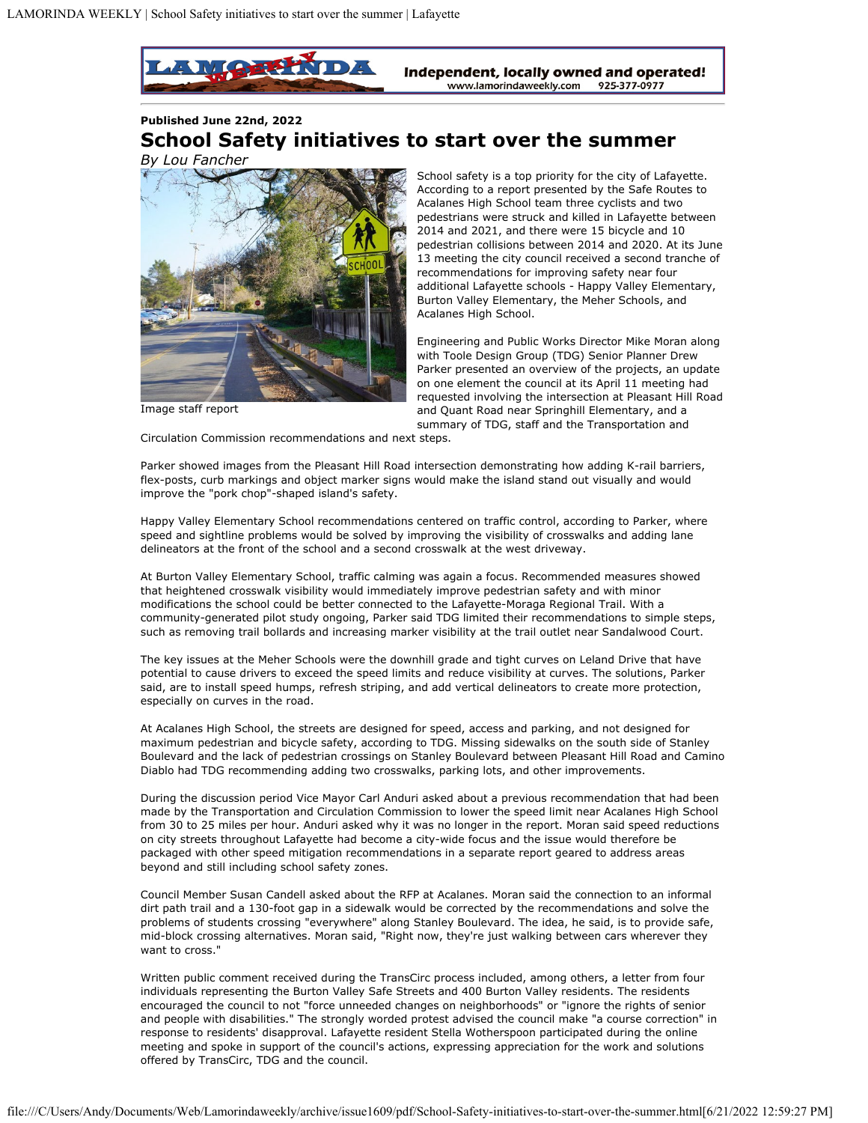

## **Published June 22nd, 2022 School Safety initiatives to start over the summer** *By Lou Fancher*



Image staff report

School safety is a top priority for the city of Lafayette. According to a report presented by the Safe Routes to Acalanes High School team three cyclists and two pedestrians were struck and killed in Lafayette between 2014 and 2021, and there were 15 bicycle and 10 pedestrian collisions between 2014 and 2020. At its June 13 meeting the city council received a second tranche of recommendations for improving safety near four additional Lafayette schools - Happy Valley Elementary, Burton Valley Elementary, the Meher Schools, and Acalanes High School.

Engineering and Public Works Director Mike Moran along with Toole Design Group (TDG) Senior Planner Drew Parker presented an overview of the projects, an update on one element the council at its April 11 meeting had requested involving the intersection at Pleasant Hill Road and Quant Road near Springhill Elementary, and a summary of TDG, staff and the Transportation and

Circulation Commission recommendations and next steps.

Parker showed images from the Pleasant Hill Road intersection demonstrating how adding K-rail barriers, flex-posts, curb markings and object marker signs would make the island stand out visually and would improve the "pork chop"-shaped island's safety.

Happy Valley Elementary School recommendations centered on traffic control, according to Parker, where speed and sightline problems would be solved by improving the visibility of crosswalks and adding lane delineators at the front of the school and a second crosswalk at the west driveway.

At Burton Valley Elementary School, traffic calming was again a focus. Recommended measures showed that heightened crosswalk visibility would immediately improve pedestrian safety and with minor modifications the school could be better connected to the Lafayette-Moraga Regional Trail. With a community-generated pilot study ongoing, Parker said TDG limited their recommendations to simple steps, such as removing trail bollards and increasing marker visibility at the trail outlet near Sandalwood Court.

The key issues at the Meher Schools were the downhill grade and tight curves on Leland Drive that have potential to cause drivers to exceed the speed limits and reduce visibility at curves. The solutions, Parker said, are to install speed humps, refresh striping, and add vertical delineators to create more protection, especially on curves in the road.

At Acalanes High School, the streets are designed for speed, access and parking, and not designed for maximum pedestrian and bicycle safety, according to TDG. Missing sidewalks on the south side of Stanley Boulevard and the lack of pedestrian crossings on Stanley Boulevard between Pleasant Hill Road and Camino Diablo had TDG recommending adding two crosswalks, parking lots, and other improvements.

During the discussion period Vice Mayor Carl Anduri asked about a previous recommendation that had been made by the Transportation and Circulation Commission to lower the speed limit near Acalanes High School from 30 to 25 miles per hour. Anduri asked why it was no longer in the report. Moran said speed reductions on city streets throughout Lafayette had become a city-wide focus and the issue would therefore be packaged with other speed mitigation recommendations in a separate report geared to address areas beyond and still including school safety zones.

Council Member Susan Candell asked about the RFP at Acalanes. Moran said the connection to an informal dirt path trail and a 130-foot gap in a sidewalk would be corrected by the recommendations and solve the problems of students crossing "everywhere" along Stanley Boulevard. The idea, he said, is to provide safe, mid-block crossing alternatives. Moran said, "Right now, they're just walking between cars wherever they want to cross."

Written public comment received during the TransCirc process included, among others, a letter from four individuals representing the Burton Valley Safe Streets and 400 Burton Valley residents. The residents encouraged the council to not "force unneeded changes on neighborhoods" or "ignore the rights of senior and people with disabilities." The strongly worded protest advised the council make "a course correction" in response to residents' disapproval. Lafayette resident Stella Wotherspoon participated during the online meeting and spoke in support of the council's actions, expressing appreciation for the work and solutions offered by TransCirc, TDG and the council.